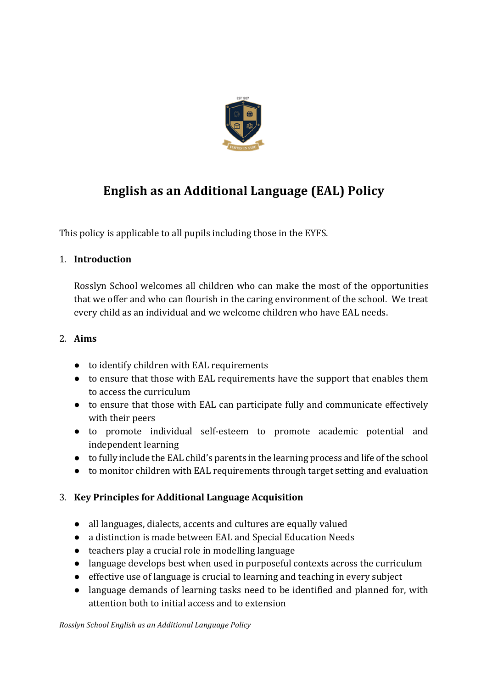

# **English as an Additional Language (EAL) Policy**

This policy is applicable to all pupils including those in the EYFS.

#### 1. **Introduction**

Rosslyn School welcomes all children who can make the most of the opportunities that we offer and who can flourish in the caring environment of the school. We treat every child as an individual and we welcome children who have EAL needs.

### 2. **Aims**

- to identify children with EAL requirements
- to ensure that those with EAL requirements have the support that enables them to access the curriculum
- to ensure that those with EAL can participate fully and communicate effectively with their peers
- to promote individual self-esteem to promote academic potential and independent learning
- to fully include the EAL child's parents in the learning process and life of the school
- to monitor children with EAL requirements through target setting and evaluation

## 3. **Key Principles for Additional Language Acquisition**

- all languages, dialects, accents and cultures are equally valued
- a distinction is made between EAL and Special Education Needs
- teachers play a crucial role in modelling language
- language develops best when used in purposeful contexts across the curriculum
- effective use of language is crucial to learning and teaching in every subject
- language demands of learning tasks need to be identified and planned for, with attention both to initial access and to extension

*Rosslyn School English as an Additional Language Policy*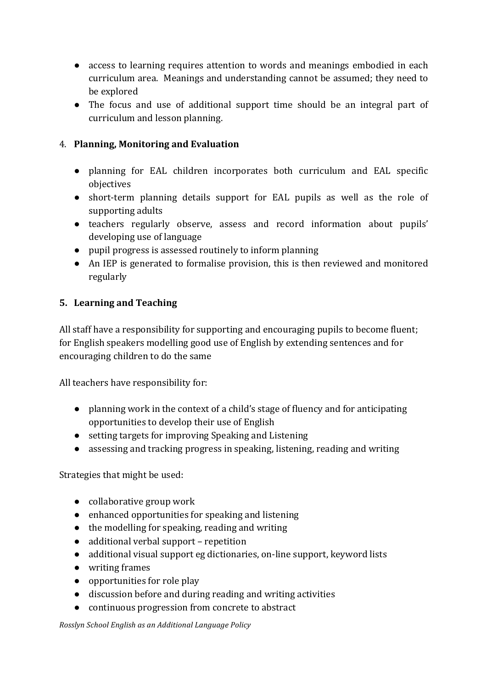- access to learning requires attention to words and meanings embodied in each curriculum area. Meanings and understanding cannot be assumed; they need to be explored
- $\bullet$  The focus and use of additional support time should be an integral part of curriculum and lesson planning.

### 4. **Planning, Monitoring and Evaluation**

- planning for EAL children incorporates both curriculum and EAL specific objectives
- short-term planning details support for EAL pupils as well as the role of supporting adults
- teachers regularly observe, assess and record information about pupils' developing use of language
- pupil progress is assessed routinely to inform planning
- An IEP is generated to formalise provision, this is then reviewed and monitored regularly

#### **5.** Learning and Teaching

All staff have a responsibility for supporting and encouraging pupils to become fluent; for English speakers modelling good use of English by extending sentences and for encouraging children to do the same

All teachers have responsibility for:

- $\bullet$  planning work in the context of a child's stage of fluency and for anticipating opportunities to develop their use of English
- setting targets for improving Speaking and Listening
- assessing and tracking progress in speaking, listening, reading and writing

Strategies that might be used:

- collaborative group work
- $\bullet$  enhanced opportunities for speaking and listening
- $\bullet$  the modelling for speaking, reading and writing
- $\bullet$  additional verbal support repetition
- additional visual support eg dictionaries, on-line support, keyword lists
- writing frames
- $\bullet$  opportunities for role play
- discussion before and during reading and writing activities
- continuous progression from concrete to abstract

*Rosslyn School English as an Additional Language Policy*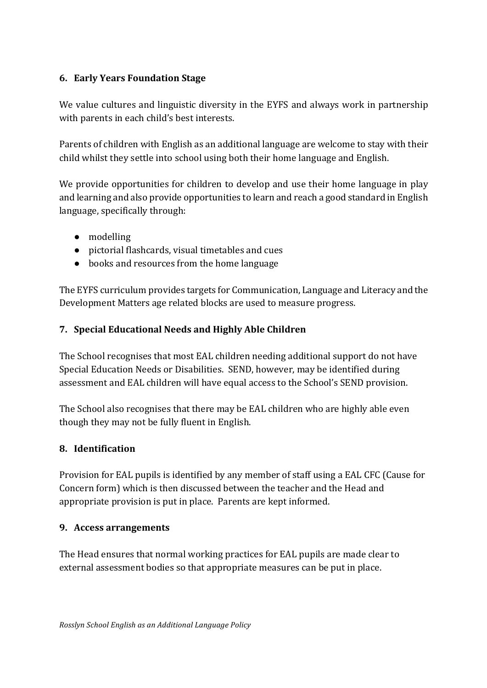#### **6. Early Years Foundation Stage**

We value cultures and linguistic diversity in the EYFS and always work in partnership with parents in each child's best interests.

Parents of children with English as an additional language are welcome to stay with their child whilst they settle into school using both their home language and English.

We provide opportunities for children to develop and use their home language in play and learning and also provide opportunities to learn and reach a good standard in English language, specifically through:

- modelling
- pictorial flashcards, visual timetables and cues
- books and resources from the home language

The EYFS curriculum provides targets for Communication, Language and Literacy and the Development Matters age related blocks are used to measure progress.

#### **7. Special Educational Needs and Highly Able Children**

The School recognises that most EAL children needing additional support do not have Special Education Needs or Disabilities. SEND, however, may be identified during assessment and EAL children will have equal access to the School's SEND provision.

The School also recognises that there may be EAL children who are highly able even though they may not be fully fluent in English.

#### **8. Identification**

Provision for EAL pupils is identified by any member of staff using a EAL CFC (Cause for Concern form) which is then discussed between the teacher and the Head and appropriate provision is put in place. Parents are kept informed.

#### **9. Access arrangements**

The Head ensures that normal working practices for EAL pupils are made clear to external assessment bodies so that appropriate measures can be put in place.